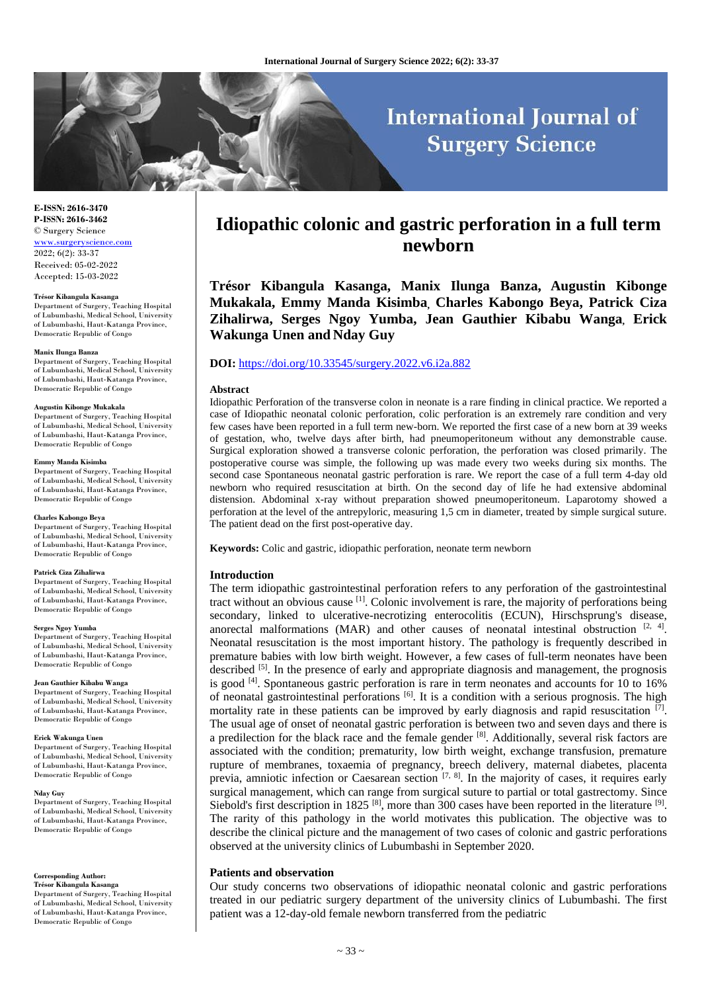# **International Journal of Surgery Science**

**E-ISSN: 2616-3470 P-ISSN: 2616-3462** © Surgery Science [www.surgeryscience.com](http://www.surgeryscience.com/) 2022; 6(2): 33-37

Received: 05-02-2022 Accepted: 15-03-2022

### **Trésor Kibangula Kasanga**

Department of Surgery, Teaching Hospital of Lubumbashi, Medical School, University of Lubumbashi, Haut-Katanga Province, Democratic Republic of Congo

### **Manix Ilunga Banza**

Department of Surgery, Teaching Hospital of Lubumbashi, Medical School, University of Lubumbashi, Haut-Katanga Province, Democratic Republic of Congo

### **Augustin Kibonge Mukakala**

Department of Surgery, Teaching Hospital of Lubumbashi, Medical School, University of Lubumbashi, Haut-Katanga Province, Democratic Republic of Congo

### **Emmy Manda Kisimba**

Department of Surgery, Teaching Hospital of Lubumbashi, Medical School, University of Lubumbashi, Haut-Katanga Province, Democratic Republic of Congo

### **Charles Kabongo Beya**

Department of Surgery, Teaching Hospital of Lubumbashi, Medical School, University of Lubumbashi, Haut-Katanga Province, Democratic Republic of Congo

### **Patrick Ciza Zihalirwa**

Department of Surgery, Teaching Hospital of Lubumbashi, Medical School, University of Lubumbashi, Haut-Katanga Province, Democratic Republic of Congo

### **Serges Ngoy Yumba**

Department of Surgery, Teaching Hospital of Lubumbashi, Medical School, University of Lubumbashi, Haut-Katanga Province, Democratic Republic of Congo

### **Jean Gauthier Kibabu Wanga**

Department of Surgery, Teaching Hospital of Lubumbashi, Medical School, University of Lubumbashi, Haut-Katanga Province, Democratic Republic of Congo

### **Erick Wakunga Unen**

Department of Surgery, Teaching Hospital of Lubumbashi, Medical School, University of Lubumbashi, Haut-Katanga Province, Democratic Republic of Congo

#### **Nday Guy**

Department of Surgery, Teaching Hospital of Lubumbashi, Medical School, University of Lubumbashi, Haut-Katanga Province, Democratic Republic of Congo

### **Corresponding Author:**

**Trésor Kibangula Kasanga** Department of Surgery, Teaching Hospital of Lubumbashi, Medical School, University of Lubumbashi, Haut-Katanga Province, Democratic Republic of Congo

## **Idiopathic colonic and gastric perforation in a full term newborn**

**Trésor Kibangula Kasanga, Manix Ilunga Banza, Augustin Kibonge Mukakala, Emmy Manda Kisimba, Charles Kabongo Beya, Patrick Ciza Zihalirwa, Serges Ngoy Yumba, Jean Gauthier Kibabu Wanga, Erick Wakunga Unen and Nday Guy**

### **DOI:** <https://doi.org/10.33545/surgery.2022.v6.i2a.882>

### **Abstract**

Idiopathic Perforation of the transverse colon in neonate is a rare finding in clinical practice. We reported a case of Idiopathic neonatal colonic perforation, colic perforation is an extremely rare condition and very few cases have been reported in a full term new-born. We reported the first case of a new born at 39 weeks of gestation, who, twelve days after birth, had pneumoperitoneum without any demonstrable cause. Surgical exploration showed a transverse colonic perforation, the perforation was closed primarily. The postoperative course was simple, the following up was made every two weeks during six months. The second case Spontaneous neonatal gastric perforation is rare. We report the case of a full term 4-day old newborn who required resuscitation at birth. On the second day of life he had extensive abdominal distension. Abdominal x-ray without preparation showed pneumoperitoneum. Laparotomy showed a perforation at the level of the antrepyloric, measuring 1,5 cm in diameter, treated by simple surgical suture. The patient dead on the first post-operative day.

**Keywords:** Colic and gastric, idiopathic perforation, neonate term newborn

### **Introduction**

The term idiopathic gastrointestinal perforation refers to any perforation of the gastrointestinal tract without an obvious cause  $\left[1\right]$ . Colonic involvement is rare, the majority of perforations being secondary, linked to ulcerative-necrotizing enterocolitis (ECUN), Hirschsprung's disease, anorectal malformations (MAR) and other causes of neonatal intestinal obstruction  $[2, 4]$ . Neonatal resuscitation is the most important history. The pathology is frequently described in premature babies with low birth weight. However, a few cases of full-term neonates have been described <sup>[5]</sup>. In the presence of early and appropriate diagnosis and management, the prognosis is good <sup>[4]</sup>. Spontaneous gastric perforation is rare in term neonates and accounts for 10 to 16% of neonatal gastrointestinal perforations [6]. It is a condition with a serious prognosis. The high mortality rate in these patients can be improved by early diagnosis and rapid resuscitation  $[7]$ . The usual age of onset of neonatal gastric perforation is between two and seven days and there is a predilection for the black race and the female gender  $[8]$ . Additionally, several risk factors are associated with the condition; prematurity, low birth weight, exchange transfusion, premature rupture of membranes, toxaemia of pregnancy, breech delivery, maternal diabetes, placenta previa, amniotic infection or Caesarean section  $[7, 8]$ . In the majority of cases, it requires early surgical management, which can range from surgical suture to partial or total gastrectomy. Since Siebold's first description in 1825  $^{[8]}$ , more than 300 cases have been reported in the literature  $^{[9]}$ . The rarity of this pathology in the world motivates this publication. The objective was to describe the clinical picture and the management of two cases of colonic and gastric perforations observed at the university clinics of Lubumbashi in September 2020.

### **Patients and observation**

Our study concerns two observations of idiopathic neonatal colonic and gastric perforations treated in our pediatric surgery department of the university clinics of Lubumbashi. The first patient was a 12-day-old female newborn transferred from the pediatric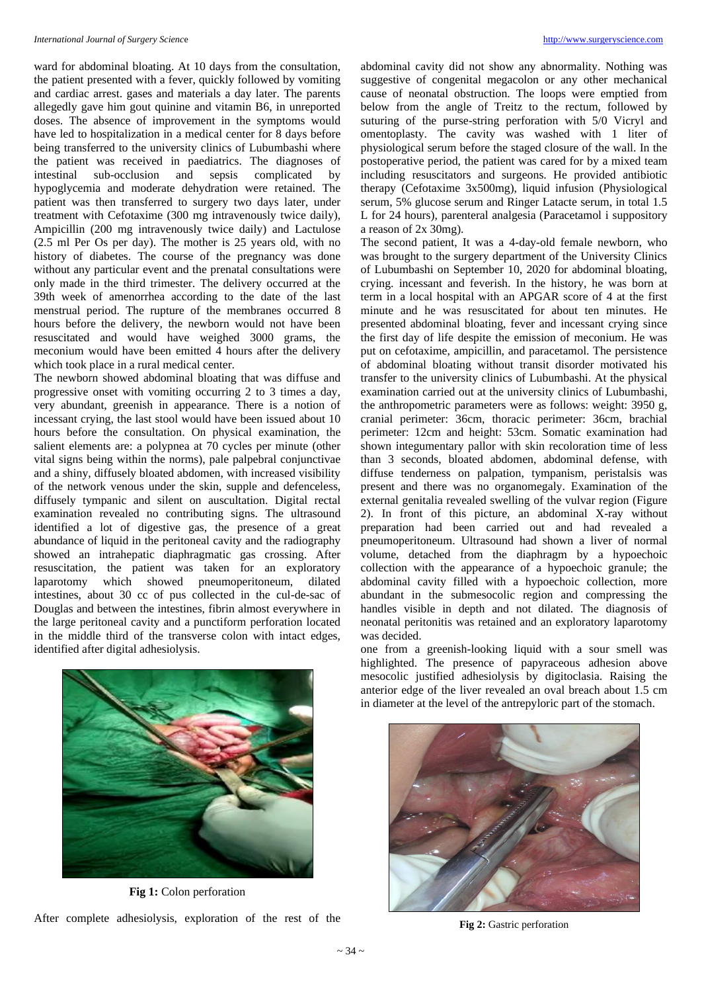ward for abdominal bloating. At 10 days from the consultation, the patient presented with a fever, quickly followed by vomiting and cardiac arrest. gases and materials a day later. The parents allegedly gave him gout quinine and vitamin B6, in unreported doses. The absence of improvement in the symptoms would have led to hospitalization in a medical center for 8 days before being transferred to the university clinics of Lubumbashi where the patient was received in paediatrics. The diagnoses of intestinal sub-occlusion and sepsis complicated by hypoglycemia and moderate dehydration were retained. The patient was then transferred to surgery two days later, under treatment with Cefotaxime (300 mg intravenously twice daily), Ampicillin (200 mg intravenously twice daily) and Lactulose (2.5 ml Per Os per day). The mother is 25 years old, with no history of diabetes. The course of the pregnancy was done without any particular event and the prenatal consultations were only made in the third trimester. The delivery occurred at the 39th week of amenorrhea according to the date of the last menstrual period. The rupture of the membranes occurred 8 hours before the delivery, the newborn would not have been resuscitated and would have weighed 3000 grams, the meconium would have been emitted 4 hours after the delivery which took place in a rural medical center.

The newborn showed abdominal bloating that was diffuse and progressive onset with vomiting occurring 2 to 3 times a day, very abundant, greenish in appearance. There is a notion of incessant crying, the last stool would have been issued about 10 hours before the consultation. On physical examination, the salient elements are: a polypnea at 70 cycles per minute (other vital signs being within the norms), pale palpebral conjunctivae and a shiny, diffusely bloated abdomen, with increased visibility of the network venous under the skin, supple and defenceless, diffusely tympanic and silent on auscultation. Digital rectal examination revealed no contributing signs. The ultrasound identified a lot of digestive gas, the presence of a great abundance of liquid in the peritoneal cavity and the radiography showed an intrahepatic diaphragmatic gas crossing. After resuscitation, the patient was taken for an exploratory laparotomy which showed pneumoperitoneum, dilated intestines, about 30 cc of pus collected in the cul-de-sac of Douglas and between the intestines, fibrin almost everywhere in the large peritoneal cavity and a punctiform perforation located in the middle third of the transverse colon with intact edges, identified after digital adhesiolysis.



**Fig 1:** Colon perforation

After complete adhesiolysis, exploration of the rest of the

abdominal cavity did not show any abnormality. Nothing was suggestive of congenital megacolon or any other mechanical cause of neonatal obstruction. The loops were emptied from below from the angle of Treitz to the rectum, followed by suturing of the purse-string perforation with 5/0 Vicryl and omentoplasty. The cavity was washed with 1 liter of physiological serum before the staged closure of the wall. In the postoperative period, the patient was cared for by a mixed team including resuscitators and surgeons. He provided antibiotic therapy (Cefotaxime 3x500mg), liquid infusion (Physiological serum, 5% glucose serum and Ringer Latacte serum, in total 1.5 L for 24 hours), parenteral analgesia (Paracetamol i suppository a reason of 2x 30mg).

The second patient, It was a 4-day-old female newborn, who was brought to the surgery department of the University Clinics of Lubumbashi on September 10, 2020 for abdominal bloating, crying. incessant and feverish. In the history, he was born at term in a local hospital with an APGAR score of 4 at the first minute and he was resuscitated for about ten minutes. He presented abdominal bloating, fever and incessant crying since the first day of life despite the emission of meconium. He was put on cefotaxime, ampicillin, and paracetamol. The persistence of abdominal bloating without transit disorder motivated his transfer to the university clinics of Lubumbashi. At the physical examination carried out at the university clinics of Lubumbashi, the anthropometric parameters were as follows: weight: 3950 g, cranial perimeter: 36cm, thoracic perimeter: 36cm, brachial perimeter: 12cm and height: 53cm. Somatic examination had shown integumentary pallor with skin recoloration time of less than 3 seconds, bloated abdomen, abdominal defense, with diffuse tenderness on palpation, tympanism, peristalsis was present and there was no organomegaly. Examination of the external genitalia revealed swelling of the vulvar region (Figure 2). In front of this picture, an abdominal X-ray without preparation had been carried out and had revealed a pneumoperitoneum. Ultrasound had shown a liver of normal volume, detached from the diaphragm by a hypoechoic collection with the appearance of a hypoechoic granule; the abdominal cavity filled with a hypoechoic collection, more abundant in the submesocolic region and compressing the handles visible in depth and not dilated. The diagnosis of neonatal peritonitis was retained and an exploratory laparotomy was decided.

one from a greenish-looking liquid with a sour smell was highlighted. The presence of papyraceous adhesion above mesocolic justified adhesiolysis by digitoclasia. Raising the anterior edge of the liver revealed an oval breach about 1.5 cm in diameter at the level of the antrepyloric part of the stomach.



**Fig 2:** Gastric perforation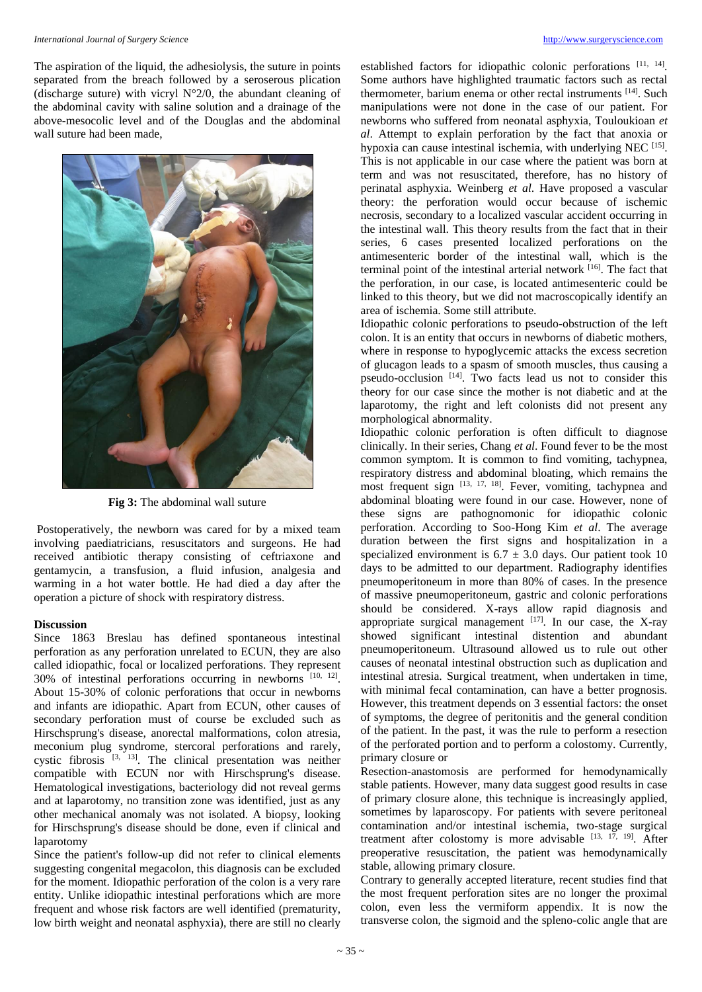### *International Journal of Surgery Science* [http://www.surgeryscience.com](http://www.surgeryscience.com/) **http://www.surgeryscience.com**

The aspiration of the liquid, the adhesiolysis, the suture in points separated from the breach followed by a seroserous plication (discharge suture) with vicryl N°2/0, the abundant cleaning of the abdominal cavity with saline solution and a drainage of the above-mesocolic level and of the Douglas and the abdominal wall suture had been made,



**Fig 3:** The abdominal wall suture

Postoperatively, the newborn was cared for by a mixed team involving paediatricians, resuscitators and surgeons. He had received antibiotic therapy consisting of ceftriaxone and gentamycin, a transfusion, a fluid infusion, analgesia and warming in a hot water bottle. He had died a day after the operation a picture of shock with respiratory distress.

### **Discussion**

Since 1863 Breslau has defined spontaneous intestinal perforation as any perforation unrelated to ECUN, they are also called idiopathic, focal or localized perforations. They represent 30% of intestinal perforations occurring in newborns [10, 12] . About 15-30% of colonic perforations that occur in newborns and infants are idiopathic. Apart from ECUN, other causes of secondary perforation must of course be excluded such as Hirschsprung's disease, anorectal malformations, colon atresia, meconium plug syndrome, stercoral perforations and rarely, cystic fibrosis [3, 13]. The clinical presentation was neither compatible with ECUN nor with Hirschsprung's disease. Hematological investigations, bacteriology did not reveal germs and at laparotomy, no transition zone was identified, just as any other mechanical anomaly was not isolated. A biopsy, looking for Hirschsprung's disease should be done, even if clinical and laparotomy

Since the patient's follow-up did not refer to clinical elements suggesting congenital megacolon, this diagnosis can be excluded for the moment. Idiopathic perforation of the colon is a very rare entity. Unlike idiopathic intestinal perforations which are more frequent and whose risk factors are well identified (prematurity, low birth weight and neonatal asphyxia), there are still no clearly

established factors for idiopathic colonic perforations [11, 14]. Some authors have highlighted traumatic factors such as rectal thermometer, barium enema or other rectal instruments [14]. Such manipulations were not done in the case of our patient. For newborns who suffered from neonatal asphyxia, Touloukioan *et al*. Attempt to explain perforation by the fact that anoxia or hypoxia can cause intestinal ischemia, with underlying NEC [15]. This is not applicable in our case where the patient was born at term and was not resuscitated, therefore, has no history of perinatal asphyxia. Weinberg *et al*. Have proposed a vascular theory: the perforation would occur because of ischemic necrosis, secondary to a localized vascular accident occurring in the intestinal wall. This theory results from the fact that in their series, 6 cases presented localized perforations on the antimesenteric border of the intestinal wall, which is the terminal point of the intestinal arterial network [16]. The fact that the perforation, in our case, is located antimesenteric could be linked to this theory, but we did not macroscopically identify an area of ischemia. Some still attribute.

Idiopathic colonic perforations to pseudo-obstruction of the left colon. It is an entity that occurs in newborns of diabetic mothers, where in response to hypoglycemic attacks the excess secretion of glucagon leads to a spasm of smooth muscles, thus causing a pseudo-occlusion [14]. Two facts lead us not to consider this theory for our case since the mother is not diabetic and at the laparotomy, the right and left colonists did not present any morphological abnormality.

Idiopathic colonic perforation is often difficult to diagnose clinically. In their series, Chang *et al*. Found fever to be the most common symptom. It is common to find vomiting, tachypnea, respiratory distress and abdominal bloating, which remains the most frequent sign [13, 17, 18]. Fever, vomiting, tachypnea and abdominal bloating were found in our case. However, none of these signs are pathognomonic for idiopathic colonic perforation. According to Soo-Hong Kim *et al*. The average duration between the first signs and hospitalization in a specialized environment is  $6.7 \pm 3.0$  days. Our patient took 10 days to be admitted to our department. Radiography identifies pneumoperitoneum in more than 80% of cases. In the presence of massive pneumoperitoneum, gastric and colonic perforations should be considered. X-rays allow rapid diagnosis and appropriate surgical management [17]. In our case, the X-ray showed significant intestinal distention and abundant pneumoperitoneum. Ultrasound allowed us to rule out other causes of neonatal intestinal obstruction such as duplication and intestinal atresia. Surgical treatment, when undertaken in time, with minimal fecal contamination, can have a better prognosis. However, this treatment depends on 3 essential factors: the onset of symptoms, the degree of peritonitis and the general condition of the patient. In the past, it was the rule to perform a resection of the perforated portion and to perform a colostomy. Currently, primary closure or

Resection-anastomosis are performed for hemodynamically stable patients. However, many data suggest good results in case of primary closure alone, this technique is increasingly applied, sometimes by laparoscopy. For patients with severe peritoneal contamination and/or intestinal ischemia, two-stage surgical treatment after colostomy is more advisable [13, 17, 19]. After preoperative resuscitation, the patient was hemodynamically stable, allowing primary closure.

Contrary to generally accepted literature, recent studies find that the most frequent perforation sites are no longer the proximal colon, even less the vermiform appendix. It is now the transverse colon, the sigmoid and the spleno-colic angle that are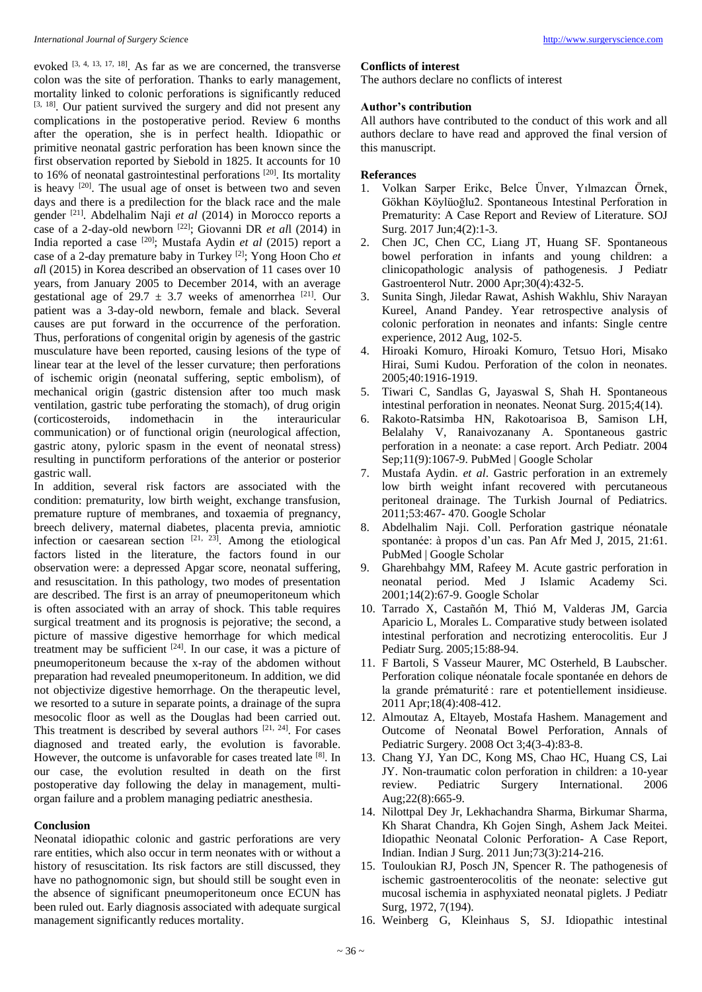evoked <sup>[3, 4, 13, 17, 18]</sup>. As far as we are concerned, the transverse colon was the site of perforation. Thanks to early management, mortality linked to colonic perforations is significantly reduced [3, 18]. Our patient survived the surgery and did not present any complications in the postoperative period. Review 6 months after the operation, she is in perfect health. Idiopathic or primitive neonatal gastric perforation has been known since the first observation reported by Siebold in 1825. It accounts for 10 to 16% of neonatal gastrointestinal perforations  $[20]$ . Its mortality is heavy [20]. The usual age of onset is between two and seven days and there is a predilection for the black race and the male gender [21]. Abdelhalim Naji *et al* (2014) in Morocco reports a case of a 2-day-old newborn [22]; Giovanni DR *et al*l (2014) in India reported a case [20]; Mustafa Aydin *et al* (2015) report a case of a 2-day premature baby in Turkey [2]; Yong Hoon Cho *et al*l (2015) in Korea described an observation of 11 cases over 10 years, from January 2005 to December 2014, with an average gestational age of 29.7  $\pm$  3.7 weeks of amenorrhea [21]. Our patient was a 3-day-old newborn, female and black. Several causes are put forward in the occurrence of the perforation. Thus, perforations of congenital origin by agenesis of the gastric musculature have been reported, causing lesions of the type of linear tear at the level of the lesser curvature; then perforations of ischemic origin (neonatal suffering, septic embolism), of mechanical origin (gastric distension after too much mask ventilation, gastric tube perforating the stomach), of drug origin (corticosteroids, indomethacin in the interauricular communication) or of functional origin (neurological affection, gastric atony, pyloric spasm in the event of neonatal stress) resulting in punctiform perforations of the anterior or posterior

gastric wall. In addition, several risk factors are associated with the condition: prematurity, low birth weight, exchange transfusion, premature rupture of membranes, and toxaemia of pregnancy, breech delivery, maternal diabetes, placenta previa, amniotic infection or caesarean section  $[21, 23]$ . Among the etiological factors listed in the literature, the factors found in our observation were: a depressed Apgar score, neonatal suffering, and resuscitation. In this pathology, two modes of presentation are described. The first is an array of pneumoperitoneum which is often associated with an array of shock. This table requires surgical treatment and its prognosis is pejorative; the second, a picture of massive digestive hemorrhage for which medical treatment may be sufficient [24]. In our case, it was a picture of pneumoperitoneum because the x-ray of the abdomen without preparation had revealed pneumoperitoneum. In addition, we did not objectivize digestive hemorrhage. On the therapeutic level, we resorted to a suture in separate points, a drainage of the supra mesocolic floor as well as the Douglas had been carried out. This treatment is described by several authors [21, 24]. For cases diagnosed and treated early, the evolution is favorable. However, the outcome is unfavorable for cases treated late [8]. In our case, the evolution resulted in death on the first postoperative day following the delay in management, multiorgan failure and a problem managing pediatric anesthesia.

## **Conclusion**

Neonatal idiopathic colonic and gastric perforations are very rare entities, which also occur in term neonates with or without a history of resuscitation. Its risk factors are still discussed, they have no pathognomonic sign, but should still be sought even in the absence of significant pneumoperitoneum once ECUN has been ruled out. Early diagnosis associated with adequate surgical management significantly reduces mortality.

## **Conflicts of interest**

The authors declare no conflicts of interest

## **Author's contribution**

All authors have contributed to the conduct of this work and all authors declare to have read and approved the final version of this manuscript.

## **Referances**

- 1. Volkan Sarper Erikc, Belce Ünver, Yılmazcan Örnek, Gökhan Köylüoğlu2. Spontaneous Intestinal Perforation in Prematurity: A Case Report and Review of Literature. SOJ Surg. 2017 Jun;4(2):1-3.
- 2. Chen JC, Chen CC, Liang JT, Huang SF. Spontaneous bowel perforation in infants and young children: a clinicopathologic analysis of pathogenesis. J Pediatr Gastroenterol Nutr. 2000 Apr;30(4):432-5.
- 3. Sunita Singh, Jiledar Rawat, Ashish Wakhlu, Shiv Narayan Kureel, Anand Pandey. Year retrospective analysis of colonic perforation in neonates and infants: Single centre experience, 2012 Aug, 102-5.
- 4. Hiroaki Komuro, Hiroaki Komuro, Tetsuo Hori, Misako Hirai, Sumi Kudou. Perforation of the colon in neonates. 2005;40:1916-1919.
- 5. Tiwari C, Sandlas G, Jayaswal S, Shah H. Spontaneous intestinal perforation in neonates. Neonat Surg. 2015;4(14).
- 6. Rakoto-Ratsimba HN, Rakotoarisoa B, Samison LH, Belalahy V, Ranaivozanany A. Spontaneous gastric perforation in a neonate: a case report. Arch Pediatr. 2004 Sep;11(9):1067-9. PubMed | Google Scholar
- 7. Mustafa Aydin. *et al*. Gastric perforation in an extremely low birth weight infant recovered with percutaneous peritoneal drainage. The Turkish Journal of Pediatrics. 2011;53:467- 470. Google Scholar
- 8. Abdelhalim Naji. Coll. Perforation gastrique néonatale spontanée: à propos d'un cas. Pan Afr Med J, 2015, 21:61. PubMed | Google Scholar
- 9. Gharehbahgy MM, Rafeey M. Acute gastric perforation in neonatal period. Med J Islamic Academy Sci. 2001;14(2):67-9. Google Scholar
- 10. Tarrado X, Castañón M, Thió M, Valderas JM, Garcia Aparicio L, Morales L. Comparative study between isolated intestinal perforation and necrotizing enterocolitis. Eur J Pediatr Surg. 2005;15:88-94.
- 11. F Bartoli, S Vasseur Maurer, MC Osterheld, B Laubscher. Perforation colique néonatale focale spontanée en dehors de la grande prématurité : rare et potentiellement insidieuse. 2011 Apr;18(4):408-412.
- 12. Almoutaz A, Eltayeb, Mostafa Hashem. Management and Outcome of Neonatal Bowel Perforation, Annals of Pediatric Surgery. 2008 Oct 3;4(3-4):83-8.
- 13. Chang YJ, Yan DC, Kong MS, Chao HC, Huang CS, Lai JY. Non-traumatic colon perforation in children: a 10-year review. Pediatric Surgery International. 2006 Aug;22(8):665-9.
- 14. Nilottpal Dey Jr, Lekhachandra Sharma, Birkumar Sharma, Kh Sharat Chandra, Kh Gojen Singh, Ashem Jack Meitei. Idiopathic Neonatal Colonic Perforation- A Case Report, Indian. Indian J Surg. 2011 Jun;73(3):214-216.
- 15. Touloukian RJ, Posch JN, Spencer R. The pathogenesis of ischemic gastroenterocolitis of the neonate: selective gut mucosal ischemia in asphyxiated neonatal piglets. J Pediatr Surg, 1972, 7(194).
- 16. Weinberg G, Kleinhaus S, SJ. Idiopathic intestinal